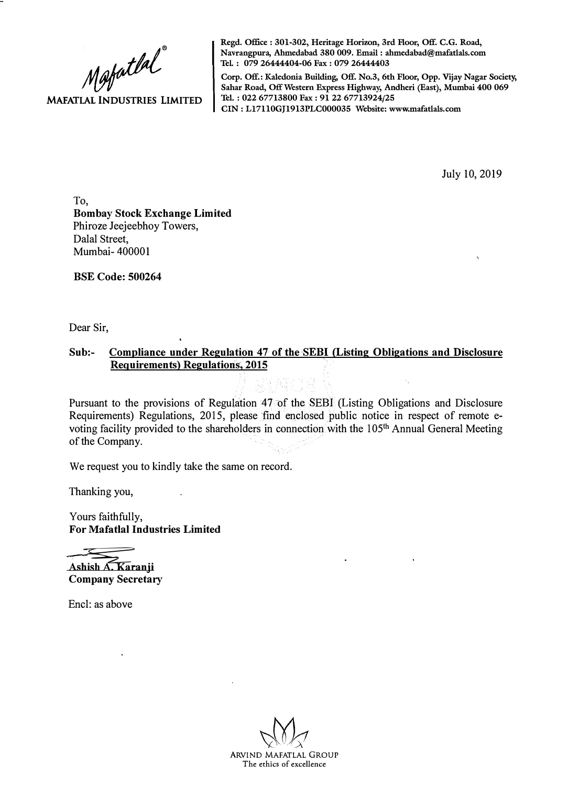$M$ afatlal **MAFATLAL INDUSTRIES LIMITED** 

**Regd. Office: 301-302, Heritage Horizon, 3rd Floor, Off. C.G. Road, Navrangpura, Ahmedabad 380 009. Email: ahmedabad@mafatlals.com Tel. : 079 26444404-06 Fax : 079 26444403** 

**Corp. Off.: Kaledonia Building, Off. No.3, 6th Floor, Opp. Vijay Nagar Society, Sahar Road, Off Western Express Highway, Andheri (East}, Mumbai 400 069 Tel. : 022 67713800 Fax : 91 22 67713924/25 CIN: Ll7110GJ1913PLC000035 Website: www.mafatlals.com** 

July 10, 2019

To, **Bombay Stock Exchange Limited** Phiroze Jeejeebhoy Towers, Dalal Street, Mumbai- 400001

**BSE Code: 500264**

Dear Sir,

## **Sub:- Compliance under Regulation 47 of the SEBI (Listing Obligations and Disclosure Requirements} Regulations·, 2015**

Pursuant to the provisions of Regulation 47 of the SEBI (Listing Obligations and Disclosure Requirements) Regulations, 2015, please find enclosed public notice in respect of remote evoting facility provided to the shareholders in connection with the 105<sup>th</sup> Annual General Meeting of the Company.

We request you to kindly take the same on record.

Thanking you,

Yours faithfully, **For Mafatlal Industries Limited**

Ashish A. Karanji **Company Secretary**

Encl: as above

ARVIND MAFATLAL GROUP The ethics of excellence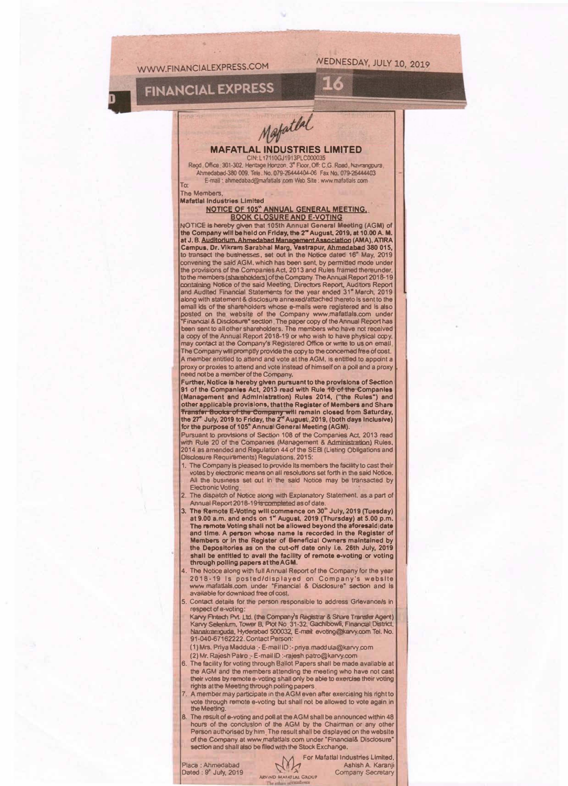WWW.FINANCIALEXPRESS.COM

**VEDNESDAY, JULY 10, 2019** 

16

## **FINANCIAL EXPRESS**



#### **MAFATLAL INDUSTRIES LIMITED** CIN: L17110GJ1913

Regd. Office 301-302, Heritage Honzon, 3" Floor, Off: C.G. Road, Navrangpura, Ahmedabad-380 009. Tele. No. 079-26444404-06 Fax No. 079-26444403 E-mail: ahmedabad@mafatlals.com Web Site: www.mafatlals.com

To: **The Members Mafatlal Industries Limited** 

#### **NOTICE OF 105" ANNUAL GENERAL MEETING. BOOK CLOSURE AND E-VOTING**

NOTICE is hereby given that 105th Annual General Meeting (AGM) of the Company will be held on Friday, the 2" August, 2019, at 10.00 A. M. at J. B. Auditorium, Ahmedabad Management Association (AMA), ATIRA<br>campus, Dr. Vikram Sarabhal Marg, Vastrapur, Ahmedabad 380 015,<br>to transact the businesses, set out in the Notice dated 16° May, 2019<br>convening the said AG the provisions of the Companies Act, 2013 and Rules framed thereunder, to the members (shareholders) of the Company. The Annual Report 2018-19 containing Notice of the said Meeting, Directors Report, Auditors Report<br>and Audited Financial Statements for the year ended 31" March, 2019<br>along with statement & disclosure annexed/attached thereto is sent to the email kis of the shareholders whose e-mails were registered and is also posted on the website of the Company www.mafatlals.com under "Financial & Disclosure" section. The paper copy of the Annual Report has been sent to all other shareholders. The members who have not received<br>a copy of the Annual Report 2018-19 or who wish to have physical copy,<br>may contact at the Company's Registered Office or write to us on email. The Company will promptly provide the copy to the concerned free of cost. A member entitled to attend and vote at the AGM, is entitled to appoint a proxy or proxies to attend and vote instead of himself on a poll and a proxy need not be a member of the Company.

Further, Notice is hereby given pursuant to the provisions of Section 91 of the Companies Act, 2013 read with Rule 10 of the Companies The Company and Administration) Rules 2014, ("the Rules") and<br>other applicable provisions, that the Register of Members and Share<br>Transfer Books of the Company will remain closed from Saturday,<br>the 27° July, 2019 to Friday

Pursuant to provisions of Section 108 of the Companies Act, 2013 read with Rule 20 of the Companies (Management & Administration) Rules 2014 as amended and Regulation 44 of the SEBI (Listing Obligations and **Disclosure Requirements) Regulations. 2015:** 

- 1. The Company is pleased to provide its members the facility to cast their votes by electronic means on all resolutions set forth in the said Notice.<br>All the business set out in the said Notice may be transacted by **Electronic Voting**
- 2. The dispatch of Notice along with Explanatory Statement, as a part of<br>Annual Report 2018-19 is completed as of date.
- The Remote E-Voting will commence on 30<sup>®</sup> July, 2019 (Tuesday) at 9.00 a.m. and ends on 1<sup>w</sup> August, 2019 (Thursday) at 5.00 p.m. 3. The remote Voting shall not be allowed beyond the aforesaid date and time. A person whose name is recorded in the Register of<br>Members or in the Register of Beneficial Owners maintained by<br>the Depositories as on the cut-off date only i.e. 26th July, 2019 shall be entitled to avail the facility of remote e-voting or voting through polling papers at the AGM.
- The Notice along with full Annual Report of the Company for the year 2018-19 Is posted/displayed on Company's website www.mafatlals.com under "Financial & Disclosure" section and is available for download free of cost.
- 5. Contact details for the person responsible to address Grievance/s in respect of e-voting:
- Karyy Finlach PvI. Ltd. (the Company's Registrar & Share Transfer Agent)<br>Karyy Selenium, Tower B, Plot No. 31-32, Gachibowii, Financial District,<br>Nanakraniguda, Hyderabad 500032, E-mail: evoting@karyy.com Tel. No.<br>91-040-6
- (1) Mrs. Priya Maddula :- E-mail iD:- priya.maddula@karvy.com
	-
- (2) Mr. Rajesh Patro :- E-mail ID :-rajesh.patro@karvy.com<br>6. The facility for voting through Ballot Papers shall be made available at the AGM and the members attending the meeting who have not cast<br>their votes by remote e-voting shall only be able to exercise their voting rights at the Meeting through polling papers
- A member may participate in the AGM even after exercising his right to vote through remote e-voting but shall not be allowed to vote again in the Meeting
- The result of e-voting and poll at the AGM shall be announced within 48 hours of the conclusion of the AGM by the Chairman or any other<br>Person authorised by him. The result shall be displayed on the website of the Company at www.mafatlals.com under "Financial& Disclosure" section and shall also be filed with the Stock Exchange.

NY

Place : Ahmedabad Dated: 9" July, 2019

For Mafatlal Industries Limited, Ashish A. Karanji<br>Company Secretary ARVIND MAINTLAL GROUP